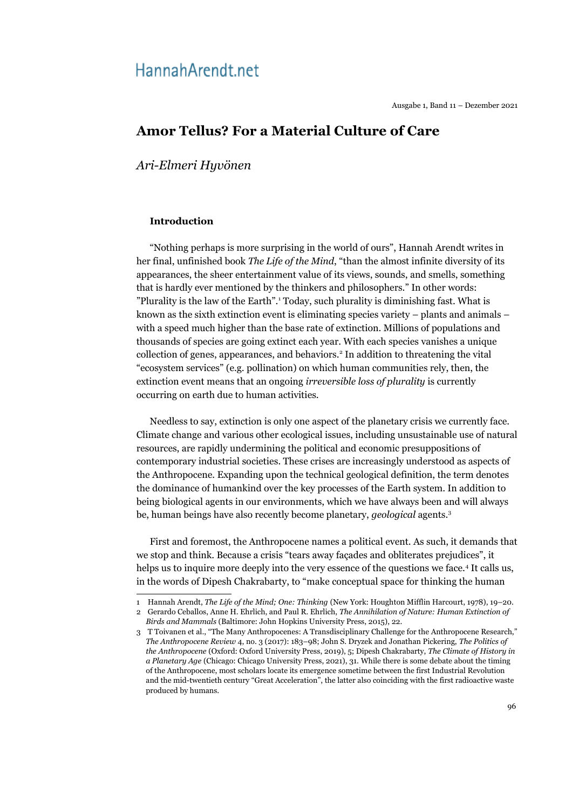# HannahArendt.net

Ausgabe 1, Band 11 – Dezember 2021

# **Amor Tellus? For a Material Culture of Care**

*Ari-Elmeri Hyvönen*

# **Introduction**

"Nothing perhaps is more surprising in the world of ours", Hannah Arendt writes in her final, unfinished book *The Life of the Mind*, "than the almost infinite diversity of its appearances, the sheer entertainment value of its views, sounds, and smells, something that is hardly ever mentioned by the thinkers and philosophers." In other words: "Plurality is the law of the Earth".<sup>[1](#page-0-0)</sup> Today, such plurality is diminishing fast. What is known as the sixth extinction event is eliminating species variety – plants and animals – with a speed much higher than the base rate of extinction. Millions of populations and thousands of species are going extinct each year. With each species vanishes a unique collection of genes, appearances, and behaviors.<sup>[2](#page-0-1)</sup> In addition to threatening the vital "ecosystem services" (e.g. pollination) on which human communities rely, then, the extinction event means that an ongoing *irreversible loss of plurality* is currently occurring on earth due to human activities.

Needless to say, extinction is only one aspect of the planetary crisis we currently face. Climate change and various other ecological issues, including unsustainable use of natural resources, are rapidly undermining the political and economic presuppositions of contemporary industrial societies. These crises are increasingly understood as aspects of the Anthropocene. Expanding upon the technical geological definition, the term denotes the dominance of humankind over the key processes of the Earth system. In addition to being biological agents in our environments, which we have always been and will always be, human beings have also recently become planetary, *geological* agents.[3](#page-0-2)

First and foremost, the Anthropocene names a political event. As such, it demands that we stop and think. Because a crisis "tears away façades and obliterates prejudices", it helps us to inquire more deeply into the very essence of the questions we face.<sup>[4](#page-1-0)</sup> It calls us, in the words of Dipesh Chakrabarty, to "make conceptual space for thinking the human

<span id="page-0-1"></span><span id="page-0-0"></span><sup>1</sup> Hannah Arendt, *The Life of the Mind; One: Thinking* (New York: Houghton Mifflin Harcourt, 1978), 19–20. 2 Gerardo Ceballos, Anne H. Ehrlich, and Paul R. Ehrlich, *The Annihilation of Nature: Human Extinction of Birds and Mammals* (Baltimore: John Hopkins University Press, 2015), 22.

<span id="page-0-2"></span><sup>3</sup> T Toivanen et al., "The Many Anthropocenes: A Transdisciplinary Challenge for the Anthropocene Research," *The Anthropocene Review* 4, no. 3 (2017): 183–98; John S. Dryzek and Jonathan Pickering, *The Politics of the Anthropocene* (Oxford: Oxford University Press, 2019), 5; Dipesh Chakrabarty, *The Climate of History in a Planetary Age* (Chicago: Chicago University Press, 2021), 31. While there is some debate about the timing of the Anthropocene, most scholars locate its emergence sometime between the first Industrial Revolution and the mid-twentieth century "Great Acceleration", the latter also coinciding with the first radioactive waste produced by humans.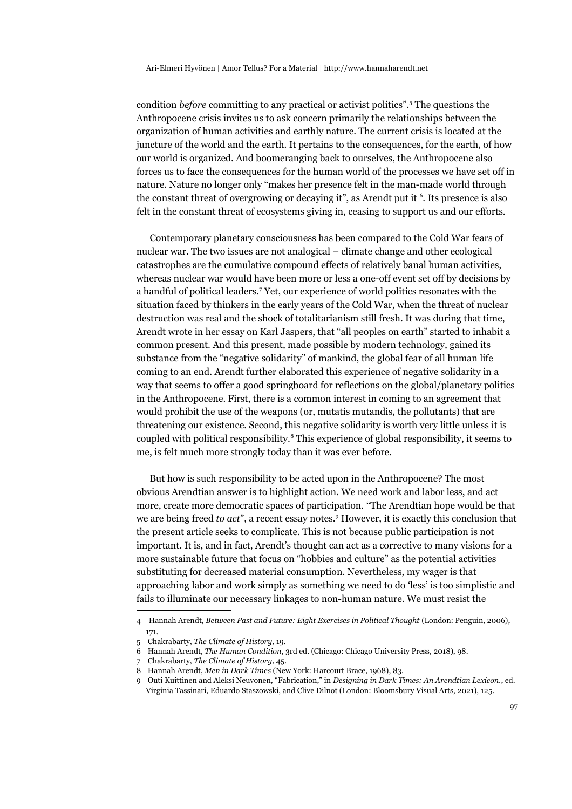condition *before* committing to any practical or activist politics".[5](#page-1-1) The questions the Anthropocene crisis invites us to ask concern primarily the relationships between the organization of human activities and earthly nature. The current crisis is located at the juncture of the world and the earth. It pertains to the consequences, for the earth, of how our world is organized. And boomeranging back to ourselves, the Anthropocene also forces us to face the consequences for the human world of the processes we have set off in nature. Nature no longer only "makes her presence felt in the man-made world through the constant threat of overgrowing or decaying it", as Arendt put it  $6$ . Its presence is also felt in the constant threat of ecosystems giving in, ceasing to support us and our efforts.

Contemporary planetary consciousness has been compared to the Cold War fears of nuclear war. The two issues are not analogical – climate change and other ecological catastrophes are the cumulative compound effects of relatively banal human activities, whereas nuclear war would have been more or less a one-off event set off by decisions by a handful of political leaders.<sup>[7](#page-1-3)</sup> Yet, our experience of world politics resonates with the situation faced by thinkers in the early years of the Cold War, when the threat of nuclear destruction was real and the shock of totalitarianism still fresh. It was during that time, Arendt wrote in her essay on Karl Jaspers, that "all peoples on earth" started to inhabit a common present. And this present, made possible by modern technology, gained its substance from the "negative solidarity" of mankind, the global fear of all human life coming to an end. Arendt further elaborated this experience of negative solidarity in a way that seems to offer a good springboard for reflections on the global/planetary politics in the Anthropocene. First, there is a common interest in coming to an agreement that would prohibit the use of the weapons (or, mutatis mutandis, the pollutants) that are threatening our existence. Second, this negative solidarity is worth very little unless it is coupled with political responsibility.<sup>[8](#page-1-4)</sup> This experience of global responsibility, it seems to me, is felt much more strongly today than it was ever before.

But how is such responsibility to be acted upon in the Anthropocene? The most obvious Arendtian answer is to highlight action. We need work and labor less, and act more, create more democratic spaces of participation. "The Arendtian hope would be that we are being freed *to act*", a recent essay notes.[9](#page-1-5) However, it is exactly this conclusion that the present article seeks to complicate. This is not because public participation is not important. It is, and in fact, Arendt's thought can act as a corrective to many visions for a more sustainable future that focus on "hobbies and culture" as the potential activities substituting for decreased material consumption. Nevertheless, my wager is that approaching labor and work simply as something we need to do 'less' is too simplistic and fails to illuminate our necessary linkages to non-human nature. We must resist the

<span id="page-1-0"></span><sup>4</sup> Hannah Arendt, *Between Past and Future: Eight Exercises in Political Thought* (London: Penguin, 2006), 171.

<span id="page-1-1"></span><sup>5</sup> Chakrabarty, *The Climate of History*, 19.

<span id="page-1-2"></span><sup>6</sup> Hannah Arendt, *The Human Condition*, 3rd ed. (Chicago: Chicago University Press, 2018), 98.

<span id="page-1-3"></span><sup>7</sup> Chakrabarty, *The Climate of History*, 45.

<span id="page-1-4"></span><sup>8</sup> Hannah Arendt, *Men in Dark Times* (New York: Harcourt Brace, 1968), 83.

<span id="page-1-5"></span><sup>9</sup> Outi Kuittinen and Aleksi Neuvonen, "Fabrication," in *Designing in Dark Times: An Arendtian Lexicon.*, ed. Virginia Tassinari, Eduardo Staszowski, and Clive Dilnot (London: Bloomsbury Visual Arts, 2021), 125.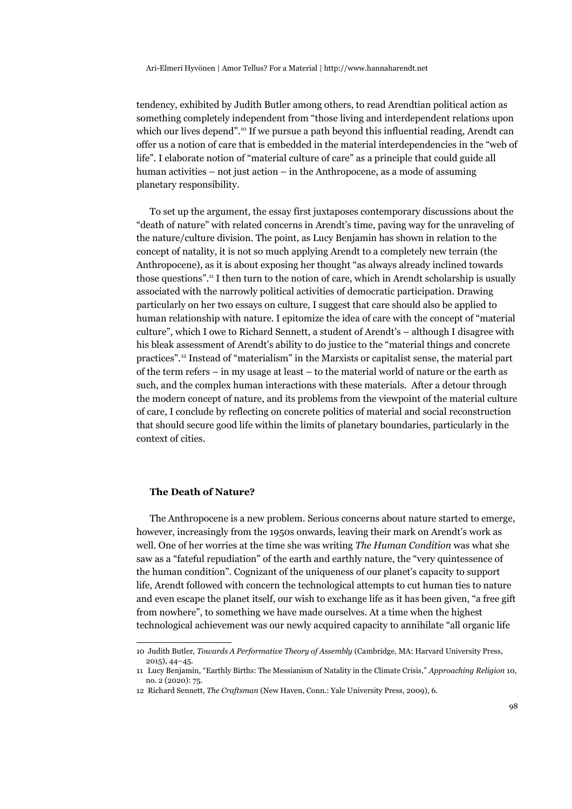tendency, exhibited by Judith Butler among others, to read Arendtian political action as something completely independent from "those living and interdependent relations upon which our lives depend".<sup>[10](#page-2-0)</sup> If we pursue a path beyond this influential reading, Arendt can offer us a notion of care that is embedded in the material interdependencies in the "web of life". I elaborate notion of "material culture of care" as a principle that could guide all human activities – not just action – in the Anthropocene, as a mode of assuming planetary responsibility.

To set up the argument, the essay first juxtaposes contemporary discussions about the "death of nature" with related concerns in Arendt's time, paving way for the unraveling of the nature/culture division. The point, as Lucy Benjamin has shown in relation to the concept of natality, it is not so much applying Arendt to a completely new terrain (the Anthropocene), as it is about exposing her thought "as always already inclined towards those questions".[11](#page-2-1) I then turn to the notion of care, which in Arendt scholarship is usually associated with the narrowly political activities of democratic participation. Drawing particularly on her two essays on culture, I suggest that care should also be applied to human relationship with nature. I epitomize the idea of care with the concept of "material culture", which I owe to Richard Sennett, a student of Arendt's – although I disagree with his bleak assessment of Arendt's ability to do justice to the "material things and concrete practices".[12](#page-2-2) Instead of "materialism" in the Marxists or capitalist sense, the material part of the term refers – in my usage at least – to the material world of nature or the earth as such, and the complex human interactions with these materials. After a detour through the modern concept of nature, and its problems from the viewpoint of the material culture of care, I conclude by reflecting on concrete politics of material and social reconstruction that should secure good life within the limits of planetary boundaries, particularly in the context of cities.

### **The Death of Nature?**

The Anthropocene is a new problem. Serious concerns about nature started to emerge, however, increasingly from the 1950s onwards, leaving their mark on Arendt's work as well. One of her worries at the time she was writing *The Human Condition* was what she saw as a "fateful repudiation" of the earth and earthly nature, the "very quintessence of the human condition". Cognizant of the uniqueness of our planet's capacity to support life, Arendt followed with concern the technological attempts to cut human ties to nature and even escape the planet itself, our wish to exchange life as it has been given, "a free gift from nowhere", to something we have made ourselves. At a time when the highest technological achievement was our newly acquired capacity to annihilate "all organic life

<span id="page-2-0"></span><sup>10</sup> Judith Butler, *Towards A Performative Theory of Assembly* (Cambridge, MA: Harvard University Press, 2015), 44–45.

<span id="page-2-1"></span><sup>11</sup> Lucy Benjamin, "Earthly Births: The Messianism of Natality in the Climate Crisis," *Approaching Religion* 10, no. 2 (2020): 75.

<span id="page-2-2"></span><sup>12</sup> Richard Sennett, *The Craftsman* (New Haven, Conn.: Yale University Press, 2009), 6.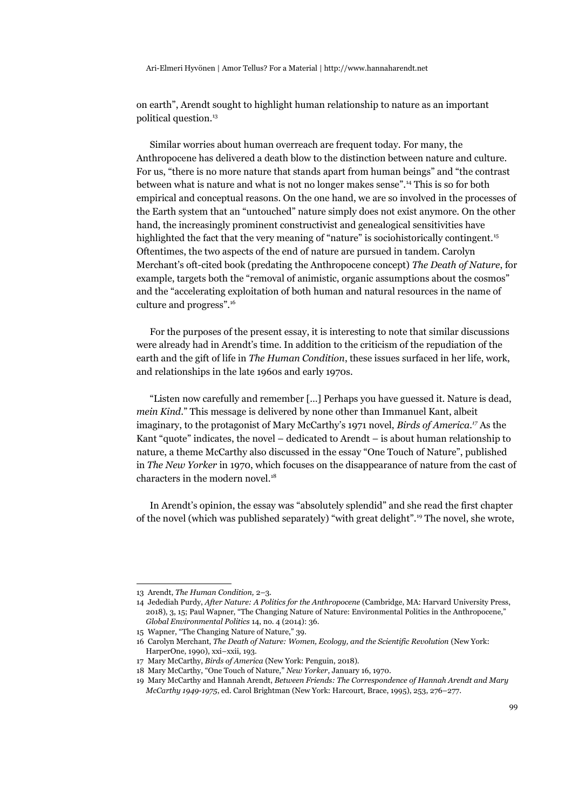on earth", Arendt sought to highlight human relationship to nature as an important political question.[13](#page-3-0)

Similar worries about human overreach are frequent today. For many, the Anthropocene has delivered a death blow to the distinction between nature and culture. For us, "there is no more nature that stands apart from human beings" and "the contrast between what is nature and what is not no longer makes sense".[14](#page-3-1) This is so for both empirical and conceptual reasons. On the one hand, we are so involved in the processes of the Earth system that an "untouched" nature simply does not exist anymore. On the other hand, the increasingly prominent constructivist and genealogical sensitivities have highlighted the fact that the very meaning of "nature" is sociohistorically contingent.<sup>[15](#page-3-2)</sup> Oftentimes, the two aspects of the end of nature are pursued in tandem. Carolyn Merchant's oft-cited book (predating the Anthropocene concept) *The Death of Nature*, for example, targets both the "removal of animistic, organic assumptions about the cosmos" and the "accelerating exploitation of both human and natural resources in the name of culture and progress".[16](#page-3-3)

For the purposes of the present essay, it is interesting to note that similar discussions were already had in Arendt's time. In addition to the criticism of the repudiation of the earth and the gift of life in *The Human Condition*, these issues surfaced in her life, work, and relationships in the late 1960s and early 1970s.

"Listen now carefully and remember […] Perhaps you have guessed it. Nature is dead, *mein Kind*." This message is delivered by none other than Immanuel Kant, albeit imaginary, to the protagonist of Mary McCarthy's 1971 novel, *Birds of America.[17](#page-3-4)* As the Kant "quote" indicates, the novel – dedicated to Arendt – is about human relationship to nature, a theme McCarthy also discussed in the essay "One Touch of Nature", published in *The New Yorker* in 1970, which focuses on the disappearance of nature from the cast of characters in the modern novel.<sup>[18](#page-3-5)</sup>

In Arendt's opinion, the essay was "absolutely splendid" and she read the first chapter of the novel (which was published separately) "with great delight".[19](#page-3-6) The novel, she wrote,

<span id="page-3-0"></span><sup>13</sup> Arendt, *The Human Condition,* 2–3.

<span id="page-3-1"></span><sup>14</sup> Jedediah Purdy, *After Nature: A Politics for the Anthropocene* (Cambridge, MA: Harvard University Press, 2018), 3, 15; Paul Wapner, "The Changing Nature of Nature: Environmental Politics in the Anthropocene," *Global Environmental Politics* 14, no. 4 (2014): 36.

<span id="page-3-2"></span><sup>15</sup> Wapner, "The Changing Nature of Nature," 39.

<span id="page-3-3"></span><sup>16</sup> Carolyn Merchant, *The Death of Nature: Women, Ecology, and the Scientific Revolution* (New York: HarperOne, 1990), xxi–xxii, 193.

<span id="page-3-4"></span><sup>17</sup> Mary McCarthy, *Birds of America* (New York: Penguin, 2018).

<span id="page-3-5"></span><sup>18</sup> Mary McCarthy, "One Touch of Nature," *New Yorker*, January 16, 1970.

<span id="page-3-6"></span><sup>19</sup> Mary McCarthy and Hannah Arendt, *Between Friends: The Correspondence of Hannah Arendt and Mary McCarthy 1949-1975*, ed. Carol Brightman (New York: Harcourt, Brace, 1995), 253, 276–277.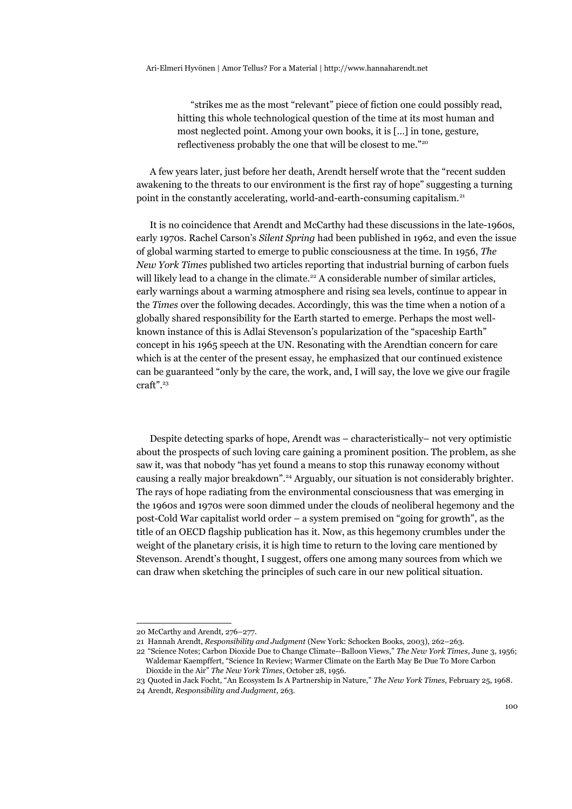"strikes me as the most "relevant" piece of fiction one could possibly read, hitting this whole technological question of the time at its most human and most neglected point. Among your own books, it is […] in tone, gesture, reflectiveness probably the one that will be closest to me."[20](#page-4-0)

A few years later, just before her death, Arendt herself wrote that the "recent sudden awakening to the threats to our environment is the first ray of hope" suggesting a turning point in the constantly accelerating, world-and-earth-consuming capitalism.<sup>[21](#page-4-1)</sup>

It is no coincidence that Arendt and McCarthy had these discussions in the late-1960s, early 1970s. Rachel Carson's *Silent Spring* had been published in 1962, and even the issue of global warming started to emerge to public consciousness at the time. In 1956, *The New York Times* published two articles reporting that industrial burning of carbon fuels will likely lead to a change in the climate.<sup>[22](#page-4-2)</sup> A considerable number of similar articles, early warnings about a warming atmosphere and rising sea levels, continue to appear in the *Times* over the following decades. Accordingly, this was the time when a notion of a globally shared responsibility for the Earth started to emerge. Perhaps the most wellknown instance of this is Adlai Stevenson's popularization of the "spaceship Earth" concept in his 1965 speech at the UN. Resonating with the Arendtian concern for care which is at the center of the present essay, he emphasized that our continued existence can be guaranteed "only by the care, the work, and, I will say, the love we give our fragile craft".[23](#page-4-3)

Despite detecting sparks of hope, Arendt was – characteristically– not very optimistic about the prospects of such loving care gaining a prominent position. The problem, as she saw it, was that nobody "has yet found a means to stop this runaway economy without causing a really major breakdown".<sup>[24](#page-4-4)</sup> Arguably, our situation is not considerably brighter. The rays of hope radiating from the environmental consciousness that was emerging in the 1960s and 1970s were soon dimmed under the clouds of neoliberal hegemony and the post-Cold War capitalist world order – a system premised on "going for growth", as the title of an OECD flagship publication has it. Now, as this hegemony crumbles under the weight of the planetary crisis, it is high time to return to the loving care mentioned by Stevenson. Arendt's thought, I suggest, offers one among many sources from which we can draw when sketching the principles of such care in our new political situation.

<span id="page-4-0"></span><sup>20</sup> McCarthy and Arendt, 276–277.

<span id="page-4-1"></span><sup>21</sup> Hannah Arendt, *Responsibility and Judgment* (New York: Schocken Books, 2003), 262–263.

<span id="page-4-2"></span><sup>22</sup> "Science Notes; Carbon Dioxide Due to Change Climate--Balloon Views," *The New York Times*, June 3, 1956; Waldemar Kaempffert, "Science In Review; Warmer Climate on the Earth May Be Due To More Carbon Dioxide in the Air" *The New York Times*, October 28, 1956.

<span id="page-4-4"></span><span id="page-4-3"></span><sup>23</sup> Quoted in Jack Focht, "An Ecosystem Is A Partnership in Nature," *The New York Times*, February 25, 1968. 24 Arendt, *Responsibility and Judgment*, 263.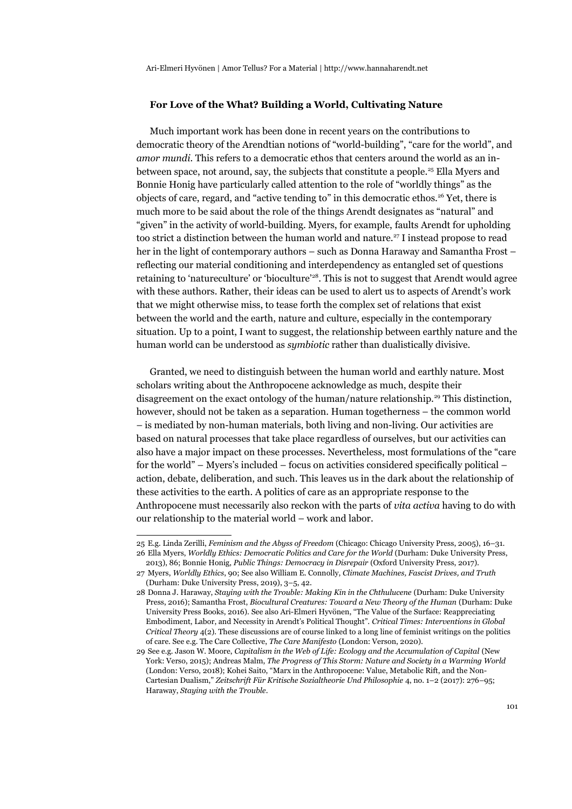# **For Love of the What? Building a World, Cultivating Nature**

Much important work has been done in recent years on the contributions to democratic theory of the Arendtian notions of "world-building", "care for the world", and *amor mundi*. This refers to a democratic ethos that centers around the world as an in-between space, not around, say, the subjects that constitute a people.<sup>[25](#page-5-0)</sup> Ella Myers and Bonnie Honig have particularly called attention to the role of "worldly things" as the objects of care, regard, and "active tending to" in this democratic ethos.[26](#page-5-1) Yet, there is much more to be said about the role of the things Arendt designates as "natural" and "given" in the activity of world-building. Myers, for example, faults Arendt for upholding too strict a distinction between the human world and nature.<sup>[27](#page-5-2)</sup> I instead propose to read her in the light of contemporary authors – such as Donna Haraway and Samantha Frost – reflecting our material conditioning and interdependency as entangled set of questions retaining to 'natureculture' or 'bioculture'<sup>[28](#page-5-3)</sup>. This is not to suggest that Arendt would agree with these authors. Rather, their ideas can be used to alert us to aspects of Arendt's work that we might otherwise miss, to tease forth the complex set of relations that exist between the world and the earth, nature and culture, especially in the contemporary situation. Up to a point, I want to suggest, the relationship between earthly nature and the human world can be understood as *symbiotic* rather than dualistically divisive.

Granted, we need to distinguish between the human world and earthly nature. Most scholars writing about the Anthropocene acknowledge as much, despite their disagreement on the exact ontology of the human/nature relationship.[29](#page-5-4) This distinction, however, should not be taken as a separation. Human togetherness – the common world – is mediated by non-human materials, both living and non-living. Our activities are based on natural processes that take place regardless of ourselves, but our activities can also have a major impact on these processes. Nevertheless, most formulations of the "care for the world" – Myers's included – focus on activities considered specifically political – action, debate, deliberation, and such. This leaves us in the dark about the relationship of these activities to the earth. A politics of care as an appropriate response to the Anthropocene must necessarily also reckon with the parts of *vita activa* having to do with our relationship to the material world – work and labor.

<span id="page-5-0"></span><sup>25</sup> E.g. Linda Zerilli, *Feminism and the Abyss of Freedom* (Chicago: Chicago University Press, 2005), 16–31. 26 Ella Myers, *Worldly Ethics: Democratic Politics and Care for the World* (Durham: Duke University Press,

<span id="page-5-1"></span><sup>2013), 86;</sup> Bonnie Honig, *Public Things: Democracy in Disrepair* (Oxford University Press, 2017).

<span id="page-5-2"></span><sup>27</sup> Myers, *Worldly Ethics*, 90; See also William E. Connolly, *Climate Machines, Fascist Drives, and Truth* (Durham: Duke University Press, 2019), 3–5, 42.

<span id="page-5-3"></span><sup>28</sup> Donna J. Haraway, *Staying with the Trouble: Making Kin in the Chthulucene* (Durham: Duke University Press, 2016); Samantha Frost, *Biocultural Creatures: Toward a New Theory of the Human* (Durham: Duke University Press Books, 2016). See also Ari-Elmeri Hyvönen, "The Value of the Surface: Reappreciating Embodiment, Labor, and Necessity in Arendt's Political Thought". *Critical Times: Interventions in Global Critical Theory* 4(2). These discussions are of course linked to a long line of feminist writings on the politics of care. See e.g. The Care Collective, *The Care Manifesto* (London: Verson, 2020).

<span id="page-5-4"></span><sup>29</sup> See e.g. Jason W. Moore, *Capitalism in the Web of Life: Ecology and the Accumulation of Capital* (New York: Verso, 2015); Andreas Malm, *The Progress of This Storm: Nature and Society in a Warming World* (London: Verso, 2018); Kohei Saito, "Marx in the Anthropocene: Value, Metabolic Rift, and the Non-Cartesian Dualism," *Zeitschrift Für Kritische Sozialtheorie Und Philosophie* 4, no. 1–2 (2017): 276–95; Haraway, *Staying with the Trouble*.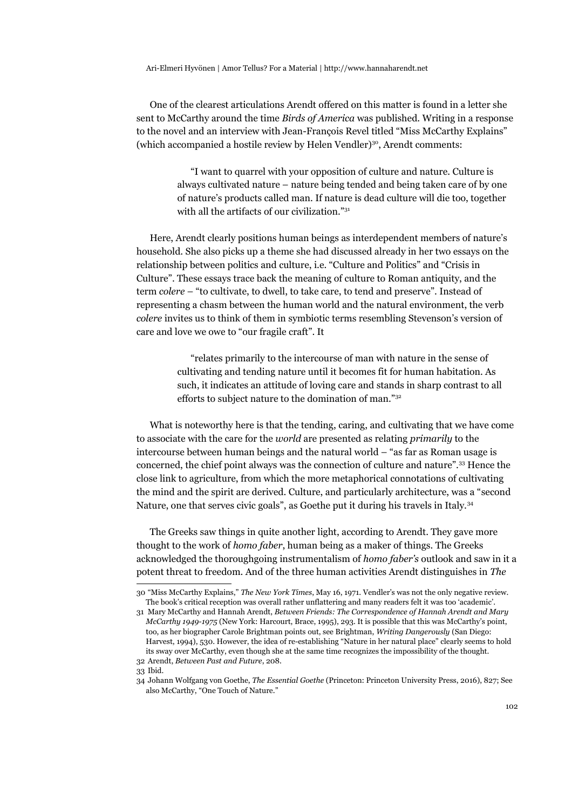One of the clearest articulations Arendt offered on this matter is found in a letter she sent to McCarthy around the time *Birds of America* was published. Writing in a response to the novel and an interview with Jean-François Revel titled "Miss McCarthy Explains" (which accompanied a hostile review by Helen Vendler)<sup>[30](#page-6-0)</sup>, Arendt comments:

> "I want to quarrel with your opposition of culture and nature. Culture is always cultivated nature – nature being tended and being taken care of by one of nature's products called man. If nature is dead culture will die too, together with all the artifacts of our civilization."[31](#page-6-1)

Here, Arendt clearly positions human beings as interdependent members of nature's household. She also picks up a theme she had discussed already in her two essays on the relationship between politics and culture, i.e. "Culture and Politics" and "Crisis in Culture". These essays trace back the meaning of culture to Roman antiquity, and the term *colere* – "to cultivate, to dwell, to take care, to tend and preserve". Instead of representing a chasm between the human world and the natural environment, the verb *colere* invites us to think of them in symbiotic terms resembling Stevenson's version of care and love we owe to "our fragile craft". It

> "relates primarily to the intercourse of man with nature in the sense of cultivating and tending nature until it becomes fit for human habitation. As such, it indicates an attitude of loving care and stands in sharp contrast to all efforts to subject nature to the domination of man."[32](#page-6-2)

What is noteworthy here is that the tending, caring, and cultivating that we have come to associate with the care for the *world* are presented as relating *primarily* to the intercourse between human beings and the natural world – "as far as Roman usage is concerned, the chief point always was the connection of culture and nature".[33](#page-6-3) Hence the close link to agriculture, from which the more metaphorical connotations of cultivating the mind and the spirit are derived. Culture, and particularly architecture, was a "second Nature, one that serves civic goals", as Goethe put it during his travels in Italy.[34](#page-6-4)

The Greeks saw things in quite another light, according to Arendt. They gave more thought to the work of *homo faber*, human being as a maker of things. The Greeks acknowledged the thoroughgoing instrumentalism of *homo faber's* outlook and saw in it a potent threat to freedom. And of the three human activities Arendt distinguishes in *The* 

<span id="page-6-0"></span><sup>30</sup> "Miss McCarthy Explains," *The New York Times*, May 16, 1971. Vendler's was not the only negative review. The book's critical reception was overall rather unflattering and many readers felt it was too 'academic'.

<span id="page-6-1"></span><sup>31</sup> Mary McCarthy and Hannah Arendt, *Between Friends: The Correspondence of Hannah Arendt and Mary McCarthy 1949-1975* (New York: Harcourt, Brace, 1995), 293. It is possible that this was McCarthy's point, too, as her biographer Carole Brightman points out, see Brightman, *Writing Dangerously* (San Diego: Harvest, 1994), 530. However, the idea of re-establishing "Nature in her natural place" clearly seems to hold its sway over McCarthy, even though she at the same time recognizes the impossibility of the thought. 32 Arendt, *Between Past and Future*, 208.

<span id="page-6-3"></span><span id="page-6-2"></span><sup>33</sup> Ibid.

<span id="page-6-4"></span><sup>34</sup> Johann Wolfgang von Goethe, *The Essential Goethe* (Princeton: Princeton University Press, 2016), 827; See also McCarthy, "One Touch of Nature."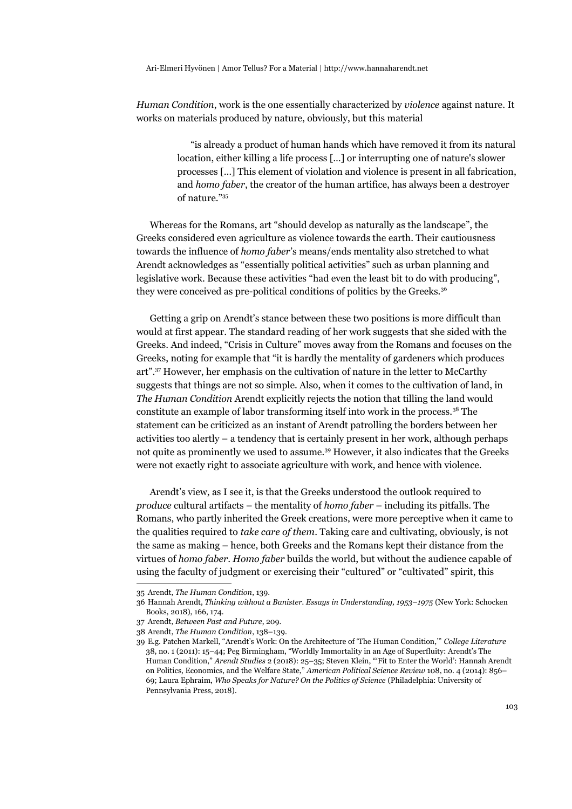*Human Condition*, work is the one essentially characterized by *violence* against nature. It works on materials produced by nature, obviously, but this material

> "is already a product of human hands which have removed it from its natural location, either killing a life process […] or interrupting one of nature's slower processes […] This element of violation and violence is present in all fabrication, and *homo faber*, the creator of the human artifice, has always been a destroyer of nature."[35](#page-7-0)

Whereas for the Romans, art "should develop as naturally as the landscape", the Greeks considered even agriculture as violence towards the earth. Their cautiousness towards the influence of *homo faber*'s means/ends mentality also stretched to what Arendt acknowledges as "essentially political activities" such as urban planning and legislative work. Because these activities "had even the least bit to do with producing", they were conceived as pre-political conditions of politics by the Greeks.<sup>[36](#page-7-1)</sup>

Getting a grip on Arendt's stance between these two positions is more difficult than would at first appear. The standard reading of her work suggests that she sided with the Greeks. And indeed, "Crisis in Culture" moves away from the Romans and focuses on the Greeks, noting for example that "it is hardly the mentality of gardeners which produces art".[37](#page-7-2) However, her emphasis on the cultivation of nature in the letter to McCarthy suggests that things are not so simple. Also, when it comes to the cultivation of land, in *The Human Condition* Arendt explicitly rejects the notion that tilling the land would constitute an example of labor transforming itself into work in the process.<sup>[38](#page-7-3)</sup> The statement can be criticized as an instant of Arendt patrolling the borders between her activities too alertly – a tendency that is certainly present in her work, although perhaps not quite as prominently we used to assume.[39](#page-7-4) However, it also indicates that the Greeks were not exactly right to associate agriculture with work, and hence with violence.

Arendt's view, as I see it, is that the Greeks understood the outlook required to *produce* cultural artifacts – the mentality of *homo faber* – including its pitfalls. The Romans, who partly inherited the Greek creations, were more perceptive when it came to the qualities required to *take care of them*. Taking care and cultivating, obviously, is not the same as making – hence, both Greeks and the Romans kept their distance from the virtues of *homo faber*. *Homo faber* builds the world, but without the audience capable of using the faculty of judgment or exercising their "cultured" or "cultivated" spirit, this

<span id="page-7-0"></span><sup>35</sup> Arendt, *The Human Condition*, 139.

<span id="page-7-1"></span><sup>36</sup> Hannah Arendt, *Thinking without a Banister. Essays in Understanding, 1953–1975* (New York: Schocken Books, 2018), 166, 174.

<span id="page-7-2"></span><sup>37</sup> Arendt, *Between Past and Future*, 209.

<span id="page-7-3"></span><sup>38</sup> Arendt, *The Human Condition*, 138–139.

<span id="page-7-4"></span><sup>39</sup> E.g. Patchen Markell, "Arendt's Work: On the Architecture of 'The Human Condition,'" *College Literature* 38, no. 1 (2011): 15–44; Peg Birmingham, "Worldly Immortality in an Age of Superfluity: Arendt's The Human Condition," *Arendt Studies* 2 (2018): 25–35; Steven Klein, "'Fit to Enter the World': Hannah Arendt on Politics, Economics, and the Welfare State," *American Political Science Review* 108, no. 4 (2014): 856– 69; Laura Ephraim, *Who Speaks for Nature? On the Politics of Science* (Philadelphia: University of Pennsylvania Press, 2018).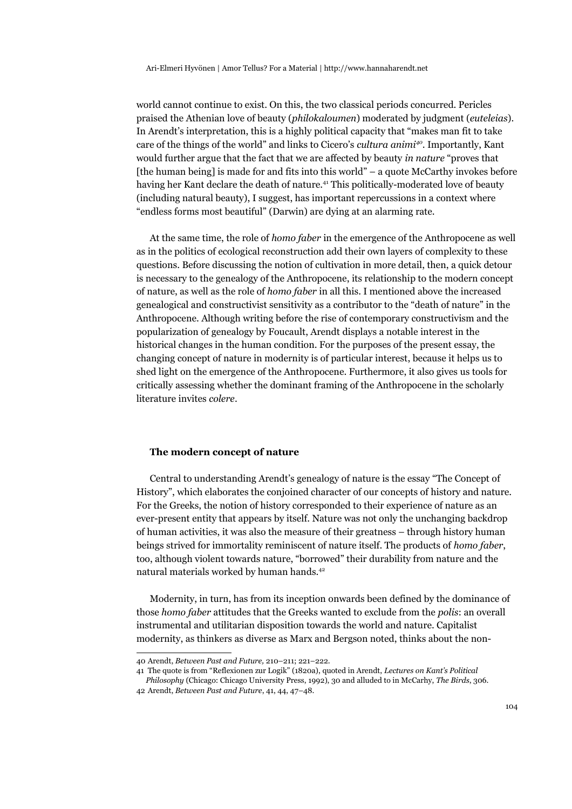world cannot continue to exist. On this, the two classical periods concurred. Pericles praised the Athenian love of beauty (*philokaloumen*) moderated by judgment (*euteleias*). In Arendt's interpretation, this is a highly political capacity that "makes man fit to take care of the things of the world" and links to Cicero's *cultura animi[40](#page-8-0)*. Importantly, Kant would further argue that the fact that we are affected by beauty *in nature* "proves that [the human being] is made for and fits into this world" – a quote McCarthy invokes before having her Kant declare the death of nature.[41](#page-8-1) This politically-moderated love of beauty (including natural beauty), I suggest, has important repercussions in a context where "endless forms most beautiful" (Darwin) are dying at an alarming rate.

At the same time, the role of *homo faber* in the emergence of the Anthropocene as well as in the politics of ecological reconstruction add their own layers of complexity to these questions. Before discussing the notion of cultivation in more detail, then, a quick detour is necessary to the genealogy of the Anthropocene, its relationship to the modern concept of nature, as well as the role of *homo faber* in all this. I mentioned above the increased genealogical and constructivist sensitivity as a contributor to the "death of nature" in the Anthropocene. Although writing before the rise of contemporary constructivism and the popularization of genealogy by Foucault, Arendt displays a notable interest in the historical changes in the human condition. For the purposes of the present essay, the changing concept of nature in modernity is of particular interest, because it helps us to shed light on the emergence of the Anthropocene. Furthermore, it also gives us tools for critically assessing whether the dominant framing of the Anthropocene in the scholarly literature invites *colere*.

#### **The modern concept of nature**

Central to understanding Arendt's genealogy of nature is the essay "The Concept of History", which elaborates the conjoined character of our concepts of history and nature. For the Greeks, the notion of history corresponded to their experience of nature as an ever-present entity that appears by itself. Nature was not only the unchanging backdrop of human activities, it was also the measure of their greatness – through history human beings strived for immortality reminiscent of nature itself. The products of *homo faber*, too, although violent towards nature, "borrowed" their durability from nature and the natural materials worked by human hands.<sup>[42](#page-8-2)</sup>

Modernity, in turn, has from its inception onwards been defined by the dominance of those *homo faber* attitudes that the Greeks wanted to exclude from the *polis*: an overall instrumental and utilitarian disposition towards the world and nature. Capitalist modernity, as thinkers as diverse as Marx and Bergson noted, thinks about the non-

<span id="page-8-0"></span><sup>40</sup> Arendt, *Between Past and Future,* 210–211; 221–222.

<span id="page-8-1"></span><sup>41</sup> The quote is from "Reflexionen zur Logik" (1820a), quoted in Arendt, *Lectures on Kant's Political Philosophy* (Chicago: Chicago University Press, 1992), 30 and alluded to in McCarhy, *The Birds*, 306.

<span id="page-8-2"></span><sup>42</sup> Arendt, *Between Past and Future*, 41, 44, 47–48.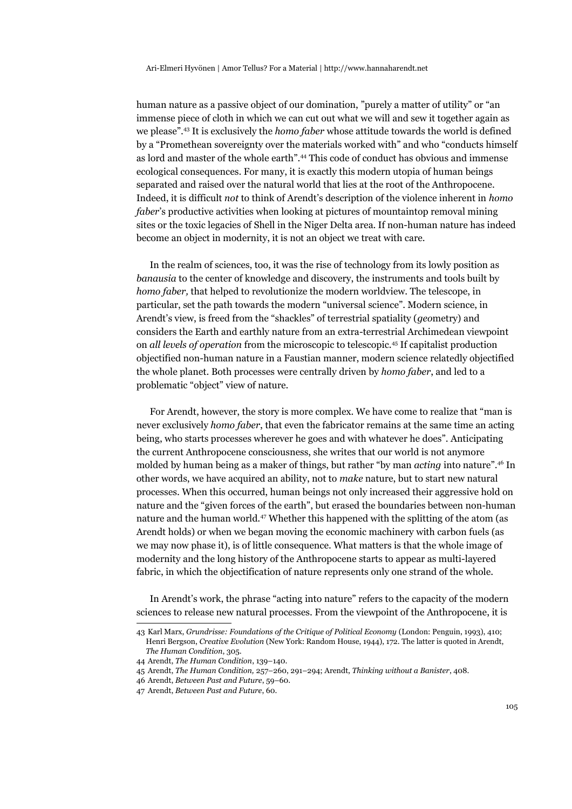human nature as a passive object of our domination, "purely a matter of utility" or "an immense piece of cloth in which we can cut out what we will and sew it together again as we please".[43](#page-9-0) It is exclusively the *homo faber* whose attitude towards the world is defined by a "Promethean sovereignty over the materials worked with" and who "conducts himself as lord and master of the whole earth".[44](#page-9-1) This code of conduct has obvious and immense ecological consequences. For many, it is exactly this modern utopia of human beings separated and raised over the natural world that lies at the root of the Anthropocene. Indeed, it is difficult *not* to think of Arendt's description of the violence inherent in *homo faber*'s productive activities when looking at pictures of mountaintop removal mining sites or the toxic legacies of Shell in the Niger Delta area. If non-human nature has indeed become an object in modernity, it is not an object we treat with care.

In the realm of sciences, too, it was the rise of technology from its lowly position as *banausia* to the center of knowledge and discovery, the instruments and tools built by *homo faber,* that helped to revolutionize the modern worldview. The telescope, in particular, set the path towards the modern "universal science". Modern science, in Arendt's view, is freed from the "shackles" of terrestrial spatiality (*geo*metry) and considers the Earth and earthly nature from an extra-terrestrial Archimedean viewpoint on *all levels of operation* from the microscopic to telescopic.[45](#page-9-2) If capitalist production objectified non-human nature in a Faustian manner, modern science relatedly objectified the whole planet. Both processes were centrally driven by *homo faber*, and led to a problematic "object" view of nature.

For Arendt, however, the story is more complex. We have come to realize that "man is never exclusively *homo faber*, that even the fabricator remains at the same time an acting being, who starts processes wherever he goes and with whatever he does". Anticipating the current Anthropocene consciousness, she writes that our world is not anymore molded by human being as a maker of things, but rather "by man *acting* into nature".[46](#page-9-3) In other words, we have acquired an ability, not to *make* nature, but to start new natural processes. When this occurred, human beings not only increased their aggressive hold on nature and the "given forces of the earth", but erased the boundaries between non-human nature and the human world.[47](#page-9-4) Whether this happened with the splitting of the atom (as Arendt holds) or when we began moving the economic machinery with carbon fuels (as we may now phase it), is of little consequence. What matters is that the whole image of modernity and the long history of the Anthropocene starts to appear as multi-layered fabric, in which the objectification of nature represents only one strand of the whole.

In Arendt's work, the phrase "acting into nature" refers to the capacity of the modern sciences to release new natural processes. From the viewpoint of the Anthropocene, it is

<span id="page-9-0"></span><sup>43</sup> Karl Marx, *Grundrisse: Foundations of the Critique of Political Economy* (London: Penguin, 1993), 410; Henri Bergson, *Creative Evolution* (New York: Random House, 1944), 172. The latter is quoted in Arendt, *The Human Condition*, 305.

<span id="page-9-1"></span><sup>44</sup> Arendt, *The Human Condition*, 139–140.

<span id="page-9-2"></span><sup>45</sup> Arendt, *The Human Condition,* 257–260, 291–294; Arendt, *Thinking without a Banister*, 408.

<span id="page-9-3"></span><sup>46</sup> Arendt, *Between Past and Future*, 59–60.

<span id="page-9-4"></span><sup>47</sup> Arendt, *Between Past and Future*, 60.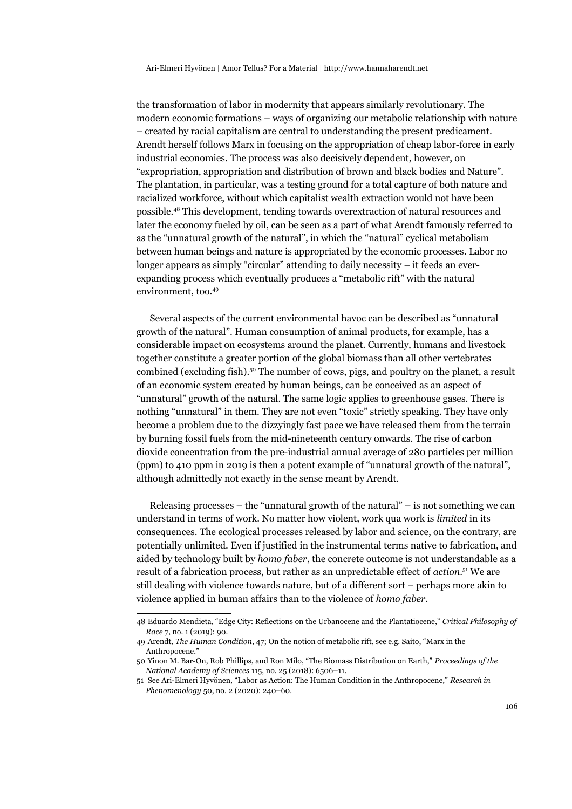the transformation of labor in modernity that appears similarly revolutionary. The modern economic formations – ways of organizing our metabolic relationship with nature – created by racial capitalism are central to understanding the present predicament. Arendt herself follows Marx in focusing on the appropriation of cheap labor-force in early industrial economies. The process was also decisively dependent, however, on "expropriation, appropriation and distribution of brown and black bodies and Nature". The plantation, in particular, was a testing ground for a total capture of both nature and racialized workforce, without which capitalist wealth extraction would not have been possible.[48](#page-10-0) This development, tending towards overextraction of natural resources and later the economy fueled by oil, can be seen as a part of what Arendt famously referred to as the "unnatural growth of the natural", in which the "natural" cyclical metabolism between human beings and nature is appropriated by the economic processes. Labor no longer appears as simply "circular" attending to daily necessity – it feeds an everexpanding process which eventually produces a "metabolic rift" with the natural environment, too.[49](#page-10-1)

Several aspects of the current environmental havoc can be described as "unnatural growth of the natural". Human consumption of animal products, for example, has a considerable impact on ecosystems around the planet. Currently, humans and livestock together constitute a greater portion of the global biomass than all other vertebrates combined (excluding fish).<sup>[50](#page-10-2)</sup> The number of cows, pigs, and poultry on the planet, a result of an economic system created by human beings, can be conceived as an aspect of "unnatural" growth of the natural. The same logic applies to greenhouse gases. There is nothing "unnatural" in them. They are not even "toxic" strictly speaking. They have only become a problem due to the dizzyingly fast pace we have released them from the terrain by burning fossil fuels from the mid-nineteenth century onwards. The rise of carbon dioxide concentration from the pre-industrial annual average of 280 particles per million (ppm) to 410 ppm in 2019 is then a potent example of "unnatural growth of the natural", although admittedly not exactly in the sense meant by Arendt.

Releasing processes – the "unnatural growth of the natural" – is not something we can understand in terms of work. No matter how violent, work qua work is *limited* in its consequences. The ecological processes released by labor and science, on the contrary, are potentially unlimited. Even if justified in the instrumental terms native to fabrication, and aided by technology built by *homo faber*, the concrete outcome is not understandable as a result of a fabrication process, but rather as an unpredictable effect of *action*. [51](#page-10-3) We are still dealing with violence towards nature, but of a different sort – perhaps more akin to violence applied in human affairs than to the violence of *homo faber*.

<span id="page-10-0"></span><sup>48</sup> Eduardo Mendieta, "Edge City: Reflections on the Urbanocene and the Plantatiocene," *Critical Philosophy of Race* 7, no. 1 (2019): 90.

<span id="page-10-1"></span><sup>49</sup> Arendt, *The Human Condition*, 47; On the notion of metabolic rift, see e.g. Saito, "Marx in the Anthropocene."

<span id="page-10-2"></span><sup>50</sup> Yinon M. Bar-On, Rob Phillips, and Ron Milo, "The Biomass Distribution on Earth," *Proceedings of the National Academy of Sciences* 115, no. 25 (2018): 6506–11.

<span id="page-10-3"></span><sup>51</sup> See Ari-Elmeri Hyvönen, "Labor as Action: The Human Condition in the Anthropocene," *Research in Phenomenology* 50, no. 2 (2020): 240–60.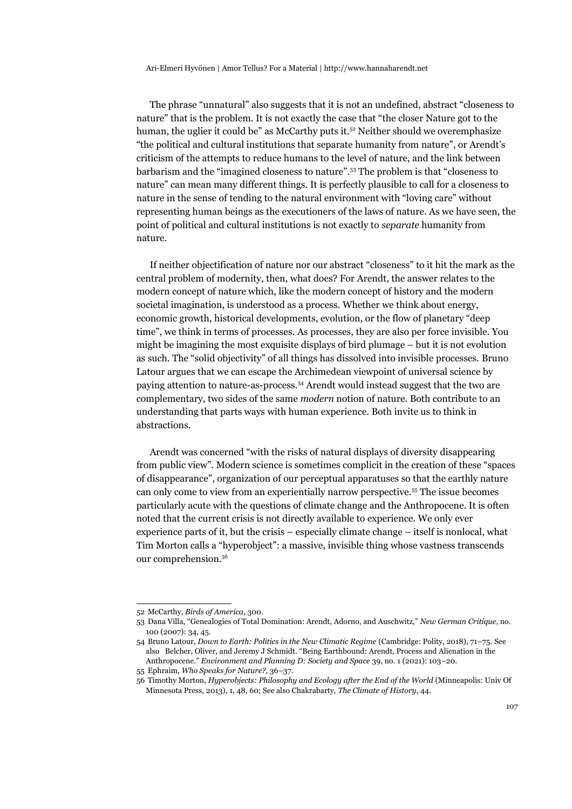The phrase "unnatural" also suggests that it is not an undefined, abstract "closeness to nature" that is the problem. It is not exactly the case that "the closer Nature got to the human, the uglier it could be" as McCarthy puts it. $52$  Neither should we overemphasize "the political and cultural institutions that separate humanity from nature", or Arendt's criticism of the attempts to reduce humans to the level of nature, and the link between barbarism and the "imagined closeness to nature".[53](#page-11-1) The problem is that "closeness to nature" can mean many different things. It is perfectly plausible to call for a closeness to nature in the sense of tending to the natural environment with "loving care" without representing human beings as the executioners of the laws of nature. As we have seen, the point of political and cultural institutions is not exactly to *separate* humanity from nature.

If neither objectification of nature nor our abstract "closeness" to it hit the mark as the central problem of modernity, then, what does? For Arendt, the answer relates to the modern concept of nature which, like the modern concept of history and the modern societal imagination, is understood as a process. Whether we think about energy, economic growth, historical developments, evolution, or the flow of planetary "deep time", we think in terms of processes. As processes, they are also per force invisible. You might be imagining the most exquisite displays of bird plumage – but it is not evolution as such. The "solid objectivity" of all things has dissolved into invisible processes. Bruno Latour argues that we can escape the Archimedean viewpoint of universal science by paying attention to nature-as-process.[54](#page-11-2) Arendt would instead suggest that the two are complementary, two sides of the same *modern* notion of nature. Both contribute to an understanding that parts ways with human experience. Both invite us to think in abstractions.

Arendt was concerned "with the risks of natural displays of diversity disappearing from public view". Modern science is sometimes complicit in the creation of these "spaces of disappearance", organization of our perceptual apparatuses so that the earthly nature can only come to view from an experientially narrow perspective.[55](#page-11-3) The issue becomes particularly acute with the questions of climate change and the Anthropocene. It is often noted that the current crisis is not directly available to experience. We only ever experience parts of it, but the crisis – especially climate change – itself is nonlocal, what Tim Morton calls a "hyperobject": a massive, invisible thing whose vastness transcends our comprehension.[56](#page-11-4)

<span id="page-11-0"></span><sup>52</sup> McCarthy, *Birds of America*, 300.

<span id="page-11-1"></span><sup>53</sup> Dana Villa, "Genealogies of Total Domination: Arendt, Adorno, and Auschwitz," *New German Critique*, no. 100 (2007): 34, 45.

<span id="page-11-2"></span><sup>54</sup> Bruno Latour, *Down to Earth: Politics in the New Climatic Regime* (Cambridge: Polity, 2018), 71–75. See also Belcher, Oliver, and Jeremy J Schmidt. "Being Earthbound: Arendt, Process and Alienation in the Anthropocene." *Environment and Planning D: Society and Space* 39, no. 1 (2021): 103–20.

<span id="page-11-3"></span><sup>55</sup> Ephraim, *Who Speaks for Nature?*, 36–37.

<span id="page-11-4"></span><sup>56</sup> Timothy Morton, *Hyperobjects: Philosophy and Ecology after the End of the World* (Minneapolis: Univ Of Minnesota Press, 2013), 1, 48, 60; See also Chakrabarty, *The Climate of History*, 44.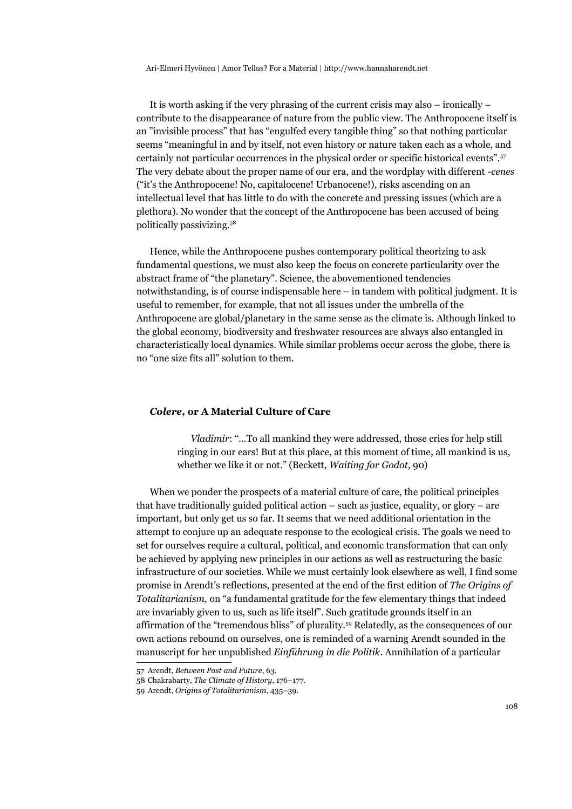It is worth asking if the very phrasing of the current crisis may also – ironically – contribute to the disappearance of nature from the public view. The Anthropocene itself is an "invisible process" that has "engulfed every tangible thing" so that nothing particular seems "meaningful in and by itself, not even history or nature taken each as a whole, and certainly not particular occurrences in the physical order or specific historical events".[57](#page-12-0) The very debate about the proper name of our era, and the wordplay with different *-cenes* ("it's the Anthropocene! No, capitalocene! Urbanocene!), risks ascending on an intellectual level that has little to do with the concrete and pressing issues (which are a plethora). No wonder that the concept of the Anthropocene has been accused of being politically passivizing.[58](#page-12-1)

Hence, while the Anthropocene pushes contemporary political theorizing to ask fundamental questions, we must also keep the focus on concrete particularity over the abstract frame of "the planetary". Science, the abovementioned tendencies notwithstanding, is of course indispensable here – in tandem with political judgment. It is useful to remember, for example, that not all issues under the umbrella of the Anthropocene are global/planetary in the same sense as the climate is. Although linked to the global economy, biodiversity and freshwater resources are always also entangled in characteristically local dynamics. While similar problems occur across the globe, there is no "one size fits all" solution to them.

#### *Colere***, or A Material Culture of Care**

*Vladimir*: "…To all mankind they were addressed, those cries for help still ringing in our ears! But at this place, at this moment of time, all mankind is us, whether we like it or not." (Beckett, *Waiting for Godot,* 90)

When we ponder the prospects of a material culture of care, the political principles that have traditionally guided political action – such as justice, equality, or glory – are important, but only get us so far. It seems that we need additional orientation in the attempt to conjure up an adequate response to the ecological crisis. The goals we need to set for ourselves require a cultural, political, and economic transformation that can only be achieved by applying new principles in our actions as well as restructuring the basic infrastructure of our societies. While we must certainly look elsewhere as well, I find some promise in Arendt's reflections, presented at the end of the first edition of *The Origins of Totalitarianism,* on "a fundamental gratitude for the few elementary things that indeed are invariably given to us, such as life itself". Such gratitude grounds itself in an affirmation of the "tremendous bliss" of plurality.[59](#page-12-2) Relatedly, as the consequences of our own actions rebound on ourselves, one is reminded of a warning Arendt sounded in the manuscript for her unpublished *Einführung in die Politik*. Annihilation of a particular

<span id="page-12-0"></span><sup>57</sup> Arendt, *Between Past and Future*, 63.

<span id="page-12-1"></span><sup>58</sup> Chakrabarty, *The Climate of History*, 176–177.

<span id="page-12-2"></span><sup>59</sup> Arendt, *Origins of Totalitarianism*, 435–39.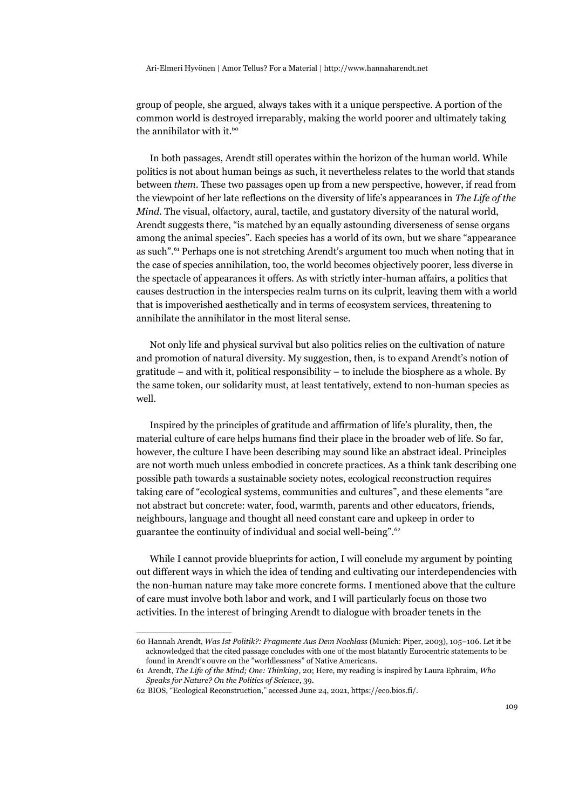group of people, she argued, always takes with it a unique perspective. A portion of the common world is destroyed irreparably, making the world poorer and ultimately taking the annihilator with it.<sup>[60](#page-13-0)</sup>

In both passages, Arendt still operates within the horizon of the human world. While politics is not about human beings as such, it nevertheless relates to the world that stands between *them*. These two passages open up from a new perspective, however, if read from the viewpoint of her late reflections on the diversity of life's appearances in *The Life of the Mind*. The visual, olfactory, aural, tactile, and gustatory diversity of the natural world, Arendt suggests there, "is matched by an equally astounding diverseness of sense organs among the animal species". Each species has a world of its own, but we share "appearance as such".[61](#page-13-1) Perhaps one is not stretching Arendt's argument too much when noting that in the case of species annihilation, too, the world becomes objectively poorer, less diverse in the spectacle of appearances it offers. As with strictly inter-human affairs, a politics that causes destruction in the interspecies realm turns on its culprit, leaving them with a world that is impoverished aesthetically and in terms of ecosystem services, threatening to annihilate the annihilator in the most literal sense.

Not only life and physical survival but also politics relies on the cultivation of nature and promotion of natural diversity. My suggestion, then, is to expand Arendt's notion of gratitude – and with it, political responsibility – to include the biosphere as a whole. By the same token, our solidarity must, at least tentatively, extend to non-human species as well.

Inspired by the principles of gratitude and affirmation of life's plurality, then, the material culture of care helps humans find their place in the broader web of life. So far, however, the culture I have been describing may sound like an abstract ideal. Principles are not worth much unless embodied in concrete practices. As a think tank describing one possible path towards a sustainable society notes, ecological reconstruction requires taking care of "ecological systems, communities and cultures", and these elements "are not abstract but concrete: water, food, warmth, parents and other educators, friends, neighbours, language and thought all need constant care and upkeep in order to guarantee the continuity of individual and social well-being".[62](#page-13-2)

While I cannot provide blueprints for action, I will conclude my argument by pointing out different ways in which the idea of tending and cultivating our interdependencies with the non-human nature may take more concrete forms. I mentioned above that the culture of care must involve both labor and work, and I will particularly focus on those two activities. In the interest of bringing Arendt to dialogue with broader tenets in the

<span id="page-13-0"></span><sup>60</sup> Hannah Arendt, *Was Ist Politik?: Fragmente Aus Dem Nachlass* (Munich: Piper, 2003), 105–106. Let it be acknowledged that the cited passage concludes with one of the most blatantly Eurocentric statements to be found in Arendt's ouvre on the "worldlessness" of Native Americans.

<span id="page-13-1"></span><sup>61</sup> Arendt, *The Life of the Mind; One: Thinking*, 20; Here, my reading is inspired by Laura Ephraim, *Who Speaks for Nature? On the Politics of Science*, 39.

<span id="page-13-2"></span><sup>62</sup> BIOS, "Ecological Reconstruction," accessed June 24, 2021, https://eco.bios.fi/.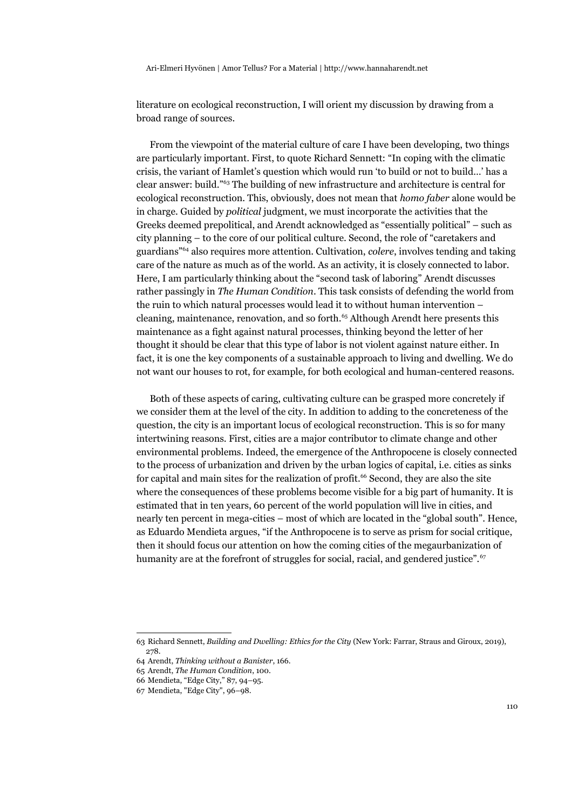literature on ecological reconstruction, I will orient my discussion by drawing from a broad range of sources.

From the viewpoint of the material culture of care I have been developing, two things are particularly important. First, to quote Richard Sennett: "In coping with the climatic crisis, the variant of Hamlet's question which would run 'to build or not to build…' has a clear answer: build."[63](#page-14-0) The building of new infrastructure and architecture is central for ecological reconstruction. This, obviously, does not mean that *homo faber* alone would be in charge. Guided by *political* judgment, we must incorporate the activities that the Greeks deemed prepolitical, and Arendt acknowledged as "essentially political" – such as city planning – to the core of our political culture. Second, the role of "caretakers and guardians"[64](#page-14-1) also requires more attention. Cultivation, *colere*, involves tending and taking care of the nature as much as of the world. As an activity, it is closely connected to labor. Here, I am particularly thinking about the "second task of laboring" Arendt discusses rather passingly in *The Human Condition*. This task consists of defending the world from the ruin to which natural processes would lead it to without human intervention – cleaning, maintenance, renovation, and so forth. $65$  Although Arendt here presents this maintenance as a fight against natural processes, thinking beyond the letter of her thought it should be clear that this type of labor is not violent against nature either. In fact, it is one the key components of a sustainable approach to living and dwelling. We do not want our houses to rot, for example, for both ecological and human-centered reasons.

Both of these aspects of caring, cultivating culture can be grasped more concretely if we consider them at the level of the city. In addition to adding to the concreteness of the question, the city is an important locus of ecological reconstruction. This is so for many intertwining reasons. First, cities are a major contributor to climate change and other environmental problems. Indeed, the emergence of the Anthropocene is closely connected to the process of urbanization and driven by the urban logics of capital, i.e. cities as sinks for capital and main sites for the realization of profit.<sup>[66](#page-14-3)</sup> Second, they are also the site where the consequences of these problems become visible for a big part of humanity. It is estimated that in ten years, 60 percent of the world population will live in cities, and nearly ten percent in mega-cities – most of which are located in the "global south". Hence, as Eduardo Mendieta argues, "if the Anthropocene is to serve as prism for social critique, then it should focus our attention on how the coming cities of the megaurbanization of humanity are at the forefront of struggles for social, racial, and gendered justice".<sup>[67](#page-14-4)</sup>

<span id="page-14-0"></span><sup>63</sup> Richard Sennett, *Building and Dwelling: Ethics for the City* (New York: Farrar, Straus and Giroux, 2019), 278.

<span id="page-14-1"></span><sup>64</sup> Arendt, *Thinking without a Banister*, 166.

<span id="page-14-2"></span><sup>65</sup> Arendt, *The Human Condition*, 100.

<span id="page-14-3"></span><sup>66</sup> Mendieta, "Edge City," 87, 94–95.

<span id="page-14-4"></span><sup>67</sup> Mendieta, "Edge City", 96–98.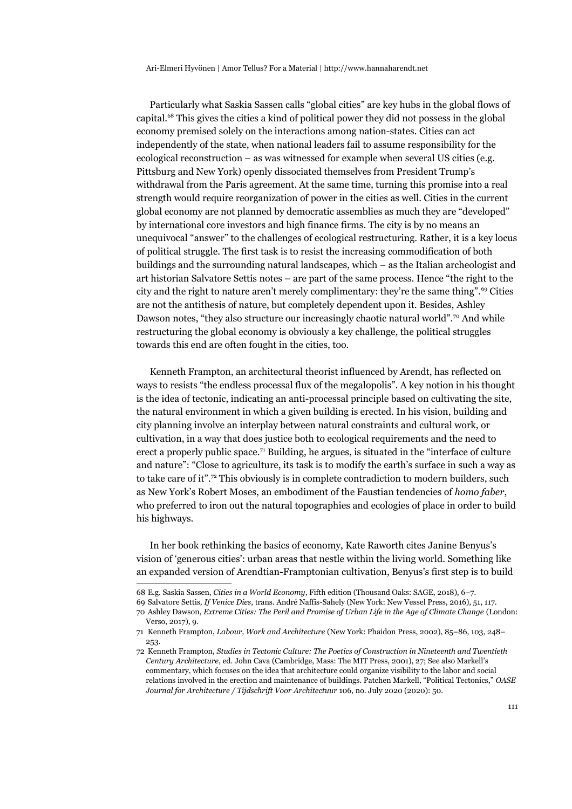Particularly what Saskia Sassen calls "global cities" are key hubs in the global flows of capital.[68](#page-15-0) This gives the cities a kind of political power they did not possess in the global economy premised solely on the interactions among nation-states. Cities can act independently of the state, when national leaders fail to assume responsibility for the ecological reconstruction – as was witnessed for example when several US cities (e.g. Pittsburg and New York) openly dissociated themselves from President Trump's withdrawal from the Paris agreement. At the same time, turning this promise into a real strength would require reorganization of power in the cities as well. Cities in the current global economy are not planned by democratic assemblies as much they are "developed" by international core investors and high finance firms. The city is by no means an unequivocal "answer" to the challenges of ecological restructuring. Rather, it is a key locus of political struggle. The first task is to resist the increasing commodification of both buildings and the surrounding natural landscapes, which – as the Italian archeologist and art historian Salvatore Settis notes – are part of the same process. Hence "the right to the city and the right to nature aren't merely complimentary: they're the same thing".<sup>[69](#page-15-1)</sup> Cities are not the antithesis of nature, but completely dependent upon it. Besides, Ashley Dawson notes, "they also structure our increasingly chaotic natural world".<sup>[70](#page-15-2)</sup> And while restructuring the global economy is obviously a key challenge, the political struggles towards this end are often fought in the cities, too.

Kenneth Frampton, an architectural theorist influenced by Arendt, has reflected on ways to resists "the endless processal flux of the megalopolis". A key notion in his thought is the idea of tectonic, indicating an anti-processal principle based on cultivating the site, the natural environment in which a given building is erected. In his vision, building and city planning involve an interplay between natural constraints and cultural work, or cultivation, in a way that does justice both to ecological requirements and the need to erect a properly public space.[71](#page-15-3) Building, he argues, is situated in the "interface of culture and nature": "Close to agriculture, its task is to modify the earth's surface in such a way as to take care of it".<sup>[72](#page-15-4)</sup> This obviously is in complete contradiction to modern builders, such as New York's Robert Moses, an embodiment of the Faustian tendencies of *homo faber*, who preferred to iron out the natural topographies and ecologies of place in order to build his highways.

In her book rethinking the basics of economy, Kate Raworth cites Janine Benyus's vision of 'generous cities': urban areas that nestle within the living world. Something like an expanded version of Arendtian-Framptonian cultivation, Benyus's first step is to build

<span id="page-15-0"></span><sup>68</sup> E.g. Saskia Sassen, *Cities in a World Economy*, Fifth edition (Thousand Oaks: SAGE, 2018), 6–7.

<span id="page-15-2"></span><span id="page-15-1"></span><sup>69</sup> Salvatore Settis, *If Venice Dies*, trans. André Naffis-Sahely (New York: New Vessel Press, 2016), 51, 117. 70 Ashley Dawson, *Extreme Cities: The Peril and Promise of Urban Life in the Age of Climate Change* (London:

<span id="page-15-3"></span>Verso, 2017), 9.

<sup>71</sup> Kenneth Frampton, *Labour, Work and Architecture* (New York: Phaidon Press, 2002), 85–86, 103, 248– 253.

<span id="page-15-4"></span><sup>72</sup> Kenneth Frampton, *Studies in Tectonic Culture: The Poetics of Construction in Nineteenth and Twentieth Century Architecture*, ed. John Cava (Cambridge, Mass: The MIT Press, 2001), 27; See also Markell's commentary, which focuses on the idea that architecture could organize visibility to the labor and social relations involved in the erection and maintenance of buildings. Patchen Markell, "Political Tectonics," *OASE Journal for Architecture / Tijdschrift Voor Architectuur* 106, no. July 2020 (2020): 50.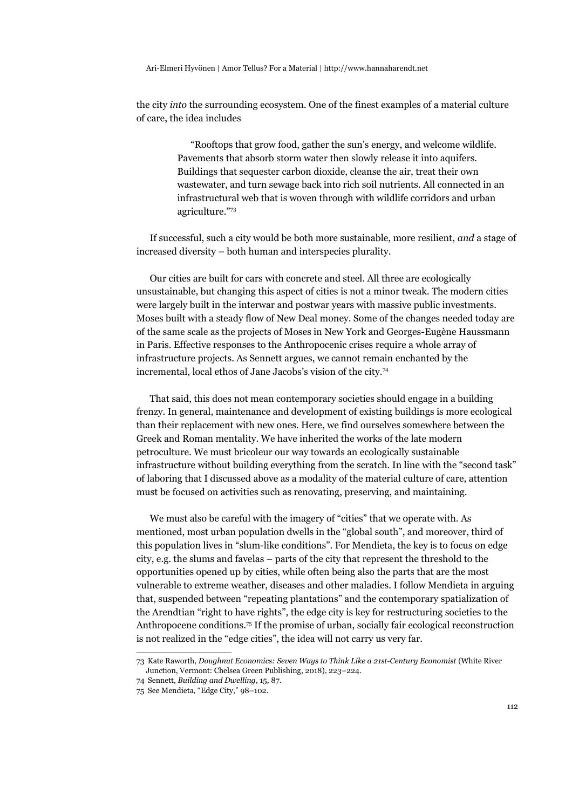the city *into* the surrounding ecosystem. One of the finest examples of a material culture of care, the idea includes

> "Rooftops that grow food, gather the sun's energy, and welcome wildlife. Pavements that absorb storm water then slowly release it into aquifers. Buildings that sequester carbon dioxide, cleanse the air, treat their own wastewater, and turn sewage back into rich soil nutrients. All connected in an infrastructural web that is woven through with wildlife corridors and urban agriculture."[73](#page-16-0)

If successful, such a city would be both more sustainable, more resilient, *and* a stage of increased diversity – both human and interspecies plurality.

Our cities are built for cars with concrete and steel. All three are ecologically unsustainable, but changing this aspect of cities is not a minor tweak. The modern cities were largely built in the interwar and postwar years with massive public investments. Moses built with a steady flow of New Deal money. Some of the changes needed today are of the same scale as the projects of Moses in New York and Georges-Eugène Haussmann in Paris. Effective responses to the Anthropocenic crises require a whole array of infrastructure projects. As Sennett argues, we cannot remain enchanted by the incremental, local ethos of Jane Jacobs's vision of the city.[74](#page-16-1)

That said, this does not mean contemporary societies should engage in a building frenzy. In general, maintenance and development of existing buildings is more ecological than their replacement with new ones. Here, we find ourselves somewhere between the Greek and Roman mentality. We have inherited the works of the late modern petroculture. We must bricoleur our way towards an ecologically sustainable infrastructure without building everything from the scratch. In line with the "second task" of laboring that I discussed above as a modality of the material culture of care, attention must be focused on activities such as renovating, preserving, and maintaining.

We must also be careful with the imagery of "cities" that we operate with. As mentioned, most urban population dwells in the "global south", and moreover, third of this population lives in "slum-like conditions". For Mendieta, the key is to focus on edge city, e.g. the slums and favelas – parts of the city that represent the threshold to the opportunities opened up by cities, while often being also the parts that are the most vulnerable to extreme weather, diseases and other maladies. I follow Mendieta in arguing that, suspended between "repeating plantations" and the contemporary spatialization of the Arendtian "right to have rights", the edge city is key for restructuring societies to the Anthropocene conditions.[75](#page-16-2) If the promise of urban, socially fair ecological reconstruction is not realized in the "edge cities", the idea will not carry us very far.

<span id="page-16-0"></span><sup>73</sup> Kate Raworth, *Doughnut Economics: Seven Ways to Think Like a 21st-Century Economist* (White River Junction, Vermont: Chelsea Green Publishing, 2018), 223–224.

<span id="page-16-1"></span><sup>74</sup> Sennett, *Building and Dwelling*, 15, 87.

<span id="page-16-2"></span><sup>75</sup> See Mendieta, "Edge City," 98–102.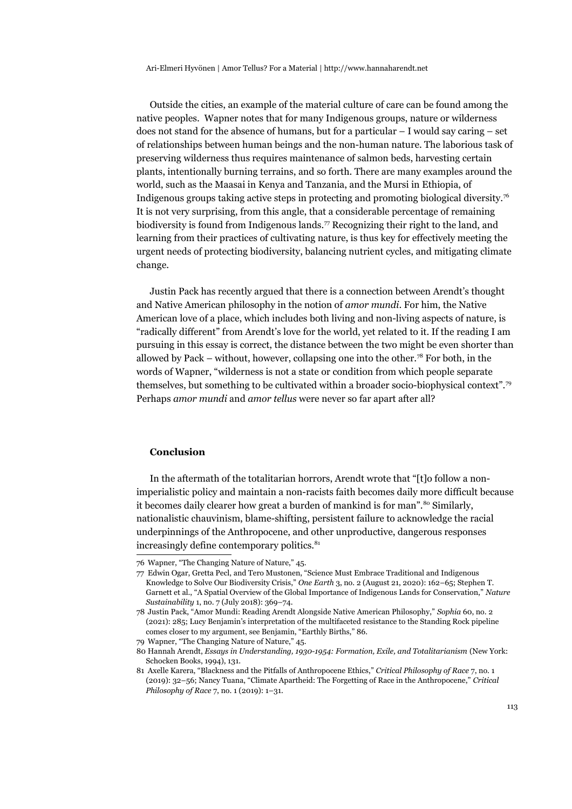Outside the cities, an example of the material culture of care can be found among the native peoples. Wapner notes that for many Indigenous groups, nature or wilderness does not stand for the absence of humans, but for a particular  $-1$  would say caring  $-$  set of relationships between human beings and the non-human nature. The laborious task of preserving wilderness thus requires maintenance of salmon beds, harvesting certain plants, intentionally burning terrains, and so forth. There are many examples around the world, such as the Maasai in Kenya and Tanzania, and the Mursi in Ethiopia, of Indigenous groups taking active steps in protecting and promoting biological diversity.[76](#page-17-0) It is not very surprising, from this angle, that a considerable percentage of remaining biodiversity is found from Indigenous lands.<sup>[77](#page-17-1)</sup> Recognizing their right to the land, and learning from their practices of cultivating nature, is thus key for effectively meeting the urgent needs of protecting biodiversity, balancing nutrient cycles, and mitigating climate change.

Justin Pack has recently argued that there is a connection between Arendt's thought and Native American philosophy in the notion of *amor mundi*. For him, the Native American love of a place, which includes both living and non-living aspects of nature, is "radically different" from Arendt's love for the world, yet related to it. If the reading I am pursuing in this essay is correct, the distance between the two might be even shorter than allowed by Pack – without, however, collapsing one into the other.<sup>[78](#page-17-2)</sup> For both, in the words of Wapner, "wilderness is not a state or condition from which people separate themselves, but something to be cultivated within a broader socio-biophysical context".[79](#page-17-3) Perhaps *amor mundi* and *amor tellus* were never so far apart after all?

#### **Conclusion**

In the aftermath of the totalitarian horrors, Arendt wrote that "[t]o follow a nonimperialistic policy and maintain a non-racists faith becomes daily more difficult because it becomes daily clearer how great a burden of mankind is for man".<sup>[80](#page-17-4)</sup> Similarly, nationalistic chauvinism, blame-shifting, persistent failure to acknowledge the racial underpinnings of the Anthropocene, and other unproductive, dangerous responses increasingly define contemporary politics.<sup>[81](#page-17-5)</sup>

<span id="page-17-0"></span><sup>76</sup> Wapner, "The Changing Nature of Nature," 45.

<span id="page-17-1"></span><sup>77</sup> Edwin Ogar, Gretta Pecl, and Tero Mustonen, "Science Must Embrace Traditional and Indigenous Knowledge to Solve Our Biodiversity Crisis," *One Earth* 3, no. 2 (August 21, 2020): 162–65; Stephen T. Garnett et al., "A Spatial Overview of the Global Importance of Indigenous Lands for Conservation," *Nature Sustainability* 1, no. 7 (July 2018): 369–74.

<span id="page-17-2"></span><sup>78</sup> Justin Pack, "Amor Mundi: Reading Arendt Alongside Native American Philosophy," *Sophia* 60, no. 2 (2021): 285; Lucy Benjamin's interpretation of the multifaceted resistance to the Standing Rock pipeline comes closer to my argument, see Benjamin, "Earthly Births," 86.

<span id="page-17-3"></span><sup>79</sup> Wapner, "The Changing Nature of Nature," 45.

<span id="page-17-4"></span><sup>80</sup> Hannah Arendt, *Essays in Understanding, 1930-1954: Formation, Exile, and Totalitarianism* (New York: Schocken Books, 1994), 131.

<span id="page-17-5"></span><sup>81</sup> Axelle Karera, "Blackness and the Pitfalls of Anthropocene Ethics," *Critical Philosophy of Race* 7, no. 1 (2019): 32–56; Nancy Tuana, "Climate Apartheid: The Forgetting of Race in the Anthropocene," *Critical Philosophy of Race* 7, no. 1 (2019): 1–31.